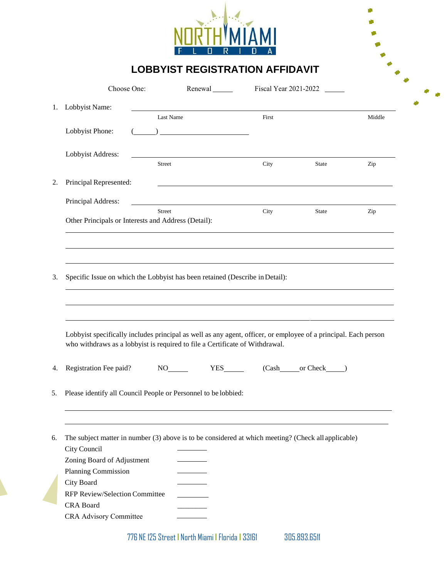

**LOBBYIST REGISTRATION AFFIDAVIT**

 $\blacklozenge$  $\blacklozenge$ 

|          | Choose One:                                                                  |               | Renewal                                                                                                                                                                                                                                                                                                                                             |                                                                                                                 | Fiscal Year 2021-2022 |        |
|----------|------------------------------------------------------------------------------|---------------|-----------------------------------------------------------------------------------------------------------------------------------------------------------------------------------------------------------------------------------------------------------------------------------------------------------------------------------------------------|-----------------------------------------------------------------------------------------------------------------|-----------------------|--------|
| 1.       | Lobbyist Name:                                                               | Last Name     |                                                                                                                                                                                                                                                                                                                                                     | First                                                                                                           |                       |        |
|          | Lobbyist Phone:                                                              |               | $\begin{picture}(20,10) \put(0,0){\line(1,0){10}} \put(15,0){\line(1,0){10}} \put(15,0){\line(1,0){10}} \put(15,0){\line(1,0){10}} \put(15,0){\line(1,0){10}} \put(15,0){\line(1,0){10}} \put(15,0){\line(1,0){10}} \put(15,0){\line(1,0){10}} \put(15,0){\line(1,0){10}} \put(15,0){\line(1,0){10}} \put(15,0){\line(1,0){10}} \put(15,0){\line(1$ |                                                                                                                 |                       | Middle |
|          | Lobbyist Address:                                                            |               |                                                                                                                                                                                                                                                                                                                                                     |                                                                                                                 |                       |        |
|          |                                                                              | <b>Street</b> |                                                                                                                                                                                                                                                                                                                                                     | City                                                                                                            | <b>State</b>          | Zip    |
| 2.       | Principal Represented:                                                       |               |                                                                                                                                                                                                                                                                                                                                                     |                                                                                                                 |                       |        |
|          | Principal Address:                                                           |               | <u> 1989 - Johann Stoff, deutscher Stoffen und der Stoffen und der Stoffen und der Stoffen und der Stoffen und der</u>                                                                                                                                                                                                                              |                                                                                                                 |                       |        |
|          | Other Principals or Interests and Address (Detail):                          | <b>Street</b> |                                                                                                                                                                                                                                                                                                                                                     | City                                                                                                            | State                 | Zip    |
|          | Specific Issue on which the Lobbyist has been retained (Describe in Detail): |               |                                                                                                                                                                                                                                                                                                                                                     |                                                                                                                 |                       |        |
| 3.       |                                                                              |               |                                                                                                                                                                                                                                                                                                                                                     |                                                                                                                 |                       |        |
|          |                                                                              |               | who withdraws as a lobbyist is required to file a Certificate of Withdrawal.                                                                                                                                                                                                                                                                        | Lobbyist specifically includes principal as well as any agent, officer, or employee of a principal. Each person |                       |        |
| 4.       | Registration Fee paid?                                                       |               |                                                                                                                                                                                                                                                                                                                                                     | <b>YES</b>                                                                                                      | (Cash or Check )      |        |
|          |                                                                              |               | Please identify all Council People or Personnel to be lobbied:                                                                                                                                                                                                                                                                                      |                                                                                                                 |                       |        |
|          |                                                                              |               |                                                                                                                                                                                                                                                                                                                                                     | The subject matter in number (3) above is to be considered at which meeting? (Check all applicable)             |                       |        |
|          | City Council                                                                 |               |                                                                                                                                                                                                                                                                                                                                                     |                                                                                                                 |                       |        |
| 5.<br>6. | Zoning Board of Adjustment<br>Planning Commission                            |               |                                                                                                                                                                                                                                                                                                                                                     |                                                                                                                 |                       |        |
|          | City Board                                                                   |               |                                                                                                                                                                                                                                                                                                                                                     |                                                                                                                 |                       |        |
|          | RFP Review/Selection Committee                                               |               |                                                                                                                                                                                                                                                                                                                                                     |                                                                                                                 |                       |        |
|          | <b>CRA Board</b><br>CRA Advisory Committee                                   |               |                                                                                                                                                                                                                                                                                                                                                     |                                                                                                                 |                       |        |

776 NE 125 Street **I** North Miami **I** Florida **I** 33161 305.893.6511